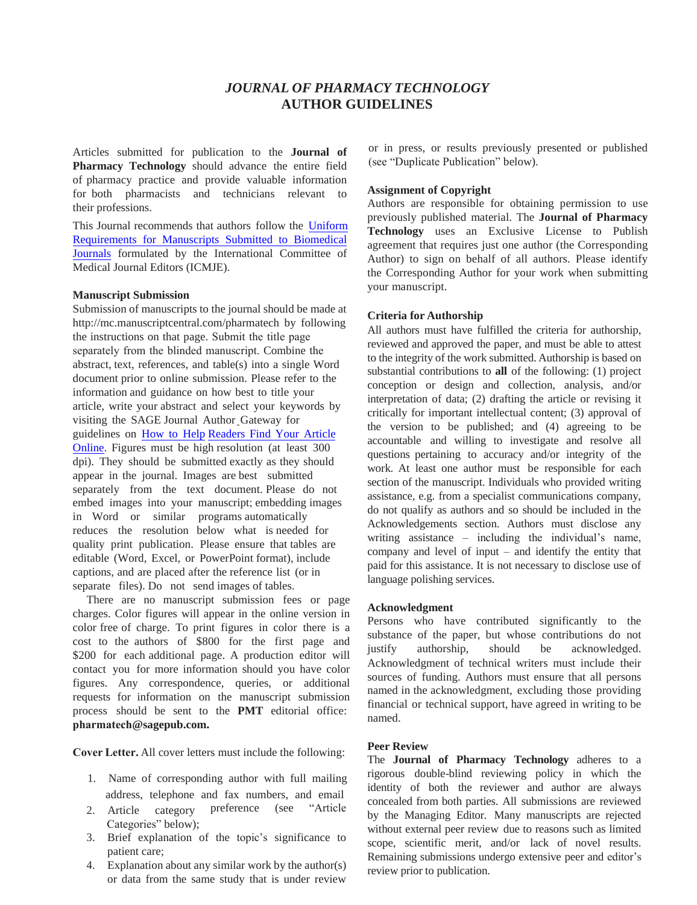# *JOURNAL OF PHARMACY TECHNOLOGY* **AUTHOR GUIDELINES**

Articles submitted for publication to the **Journal of Pharmacy Technology** should advance the entire field of pharmacy practice and provide valuable information for both pharmacists and technicians relevant to their professions.

This Journal recommends that authors follow the [Uniform](http://www.icmje.org/recommendations/)  [Requirements for Manuscripts Submitted to Biomedical](http://www.icmje.org/recommendations/)  [Journals](http://www.icmje.org/recommendations/) formulated by the International Committee of Medical Journal Editors (ICMJE).

#### **Manuscript Submission**

Submission of manuscripts to the journal should be made a[t](http://mc.manuscriptcentral.com/pharmatech)  <http://mc.manuscriptcentral.com/pharmatech>by following the instructions on that page. Submit the title page separately from the blinded manuscript. Combine the abstract, text, references, and table(s) into a single Word document prior to online submission. Please refer to the information and guidance on how best to title your article, write your abstract and select your [keywords by](http://www.uk.sagepub.com/journalgateway/findArticle.htm)  [visiting the SAGE Journal Author](http://www.uk.sagepub.com/journalgateway/findArticle.htm) Gateway for guidelines on How to Help Readers Find Your Article Online. Figures must be high resolution (at least 300 dpi). They should be submitted exactly as they should appear in the journal. Images are best submitted separately from the text document. Please do not embed images into your manuscript; embedding images in Word or similar programs automatically reduces the resolution below what is needed for quality print publication. Please ensure that tables are editable (Word, Excel, or PowerPoint format), include captions, and are placed after the reference list (or in separate files). Do not send images of tables.

There are no manuscript submission fees or page charges. Color figures will appear in the online version in color free of charge. To print figures in color there is a cost to the authors of \$800 for the first page and \$200 for each additional page. A production editor will contact you for more information should you have color figures. Any correspondence, queries, or additional [requests for informa](mailto:aop@sagepub.com)tion on the manuscript submission process should be sent to the **PMT** editorial office: **pharmatech@sagepub.com.**

**Cover Letter.** All cover letters must include the following:

- 1. Name of corresponding author with full mailing address, telephone and fax numbers, and email
- 2. Article category preference (see "Article Categories" below);
- 3. Brief explanation of the topic's significance to patient care;
- 4. Explanation about any similar work by the author(s) or data from the same study that is under review

or in press, or results previously presented or published (see "Duplicate Publication" below).

#### **Assignment of Copyright**

Authors are responsible for obtaining permission to use previously published material. The **Journal of Pharmacy Technology** uses an Exclusive License to Publish agreement that requires just one author (the Corresponding Author) to sign on behalf of all authors. Please identify the Corresponding Author for your work when submitting your manuscript.

#### **Criteria for Authorship**

All authors must have fulfilled the criteria for authorship, reviewed and approved the paper, and must be able to attest to the integrity of the work submitted. Authorship is based on substantial contributions to **all** of the following: (1) project conception or design and collection, analysis, and/or interpretation of data; (2) drafting the article or revising it critically for important intellectual content; (3) approval of the version to be published; and (4) agreeing to be accountable and willing to investigate and resolve all questions pertaining to accuracy and/or integrity of the work. At least one author must be responsible for each section of the manuscript. Individuals who provided writing assistance, e.g. from a specialist communications company, do not qualify as authors and so should be included in the Acknowledgements section. Authors must disclose any writing assistance – including the individual's name, company and level of input – and identify the entity that paid for this assistance. It is not necessary to disclose use of language polishing services.

#### **Acknowledgment**

Persons who have contributed significantly to the substance of the paper, but whose contributions do not justify authorship, should be acknowledged. Acknowledgment of technical writers must include their sources of funding. Authors must ensure that all persons named in the acknowledgment, excluding those providing financial or technical support, have agreed in writing to be named.

#### **Peer Review**

The **Journal of Pharmacy Technology** adheres to a rigorous double-blind reviewing policy in which the identity of both the reviewer and author are always concealed from both parties. All submissions are reviewed by the Managing Editor. Many manuscripts are rejected without external peer review due to reasons such as limited scope, scientific merit, and/or lack of novel results. Remaining submissions undergo extensive peer and editor's review prior to publication.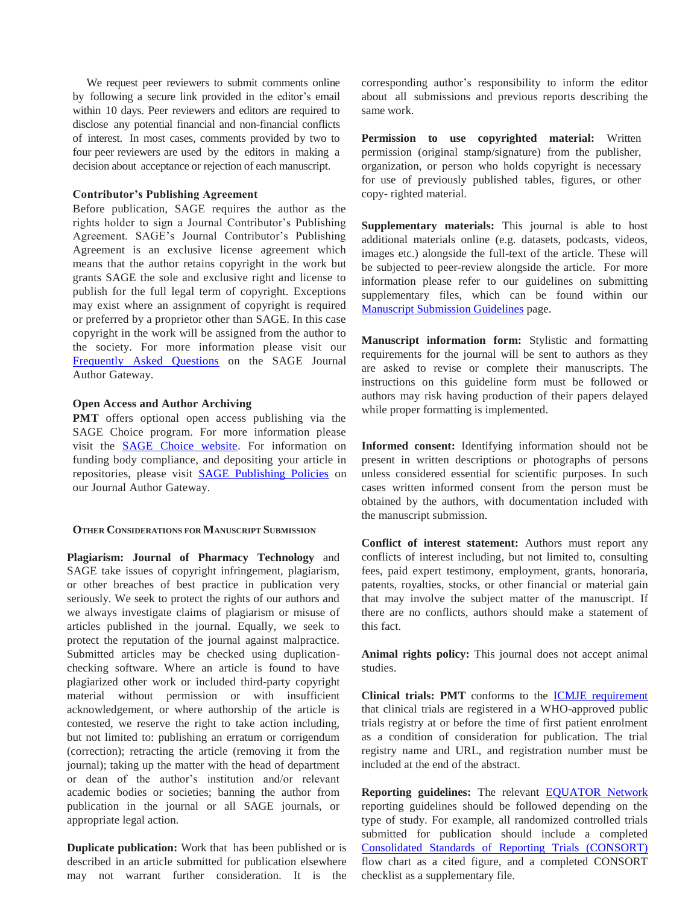We request peer reviewers to submit comments online by following a secure link provided in the editor's email within 10 days. Peer reviewers and editors are required to disclose any potential financial and non-financial conflicts of interest. In most cases, comments provided by two to four peer reviewers are used by the editors in making a decision about acceptance or rejection of each manuscript.

#### **Contributor's Publishing Agreement**

Before publication, SAGE requires the author as the rights holder to sign a Journal Contributor's Publishing Agreement. SAGE's Journal Contributor's Publishing Agreement is an exclusive license agreement which means that the author retains copyright in the work but grants SAGE the sole and exclusive right and license to publish for the full legal term of copyright. Exceptions may exist where an assignment of copyright is required or preferred by a proprietor other than SAGE. In this case copyright in the work will be assigned from the author to the society. For more information please visit our [Frequently Asked Questions](http://www.sagepub.co.uk/authors/journal/permissions.sp) on the SAGE Journal Author Gateway.

#### **Open Access and Author Archiving**

**PMT** offers optional open access publishing via the SAGE Choice program. For more information please visit the [SAGE Choice website.](http://www.uk.sagepub.com/sagechoice.sp) For information on funding body compliance, and depositing your article in repositories, please visit [SAGE Publishing Policies](http://www.uk.sagepub.com/journalgateway/pubPolicies.htm) on our Journal Author Gateway.

#### **OTHER CONSIDERATIONS FOR MANUSCRIPT SUBMISSION**

**Plagiarism: Journal of Pharmacy Technology** and SAGE take issues of copyright infringement, plagiarism, or other breaches of best practice in publication very seriously. We seek to protect the rights of our authors and we always investigate claims of plagiarism or misuse of articles published in the journal. Equally, we seek to protect the reputation of the journal against malpractice. Submitted articles may be checked using duplicationchecking software. Where an article is found to have plagiarized other work or included third-party copyright material without permission or with insufficient acknowledgement, or where authorship of the article is contested, we reserve the right to take action including, but not limited to: publishing an erratum or corrigendum (correction); retracting the article (removing it from the journal); taking up the matter with the head of department or dean of the author's institution and/or relevant academic bodies or societies; banning the author from publication in the journal or all SAGE journals, or appropriate legal action.

**Duplicate publication:** Work that has been published or is described in an article submitted for publication elsewhere may not warrant further consideration. It is the corresponding author's responsibility to inform the editor about all submissions and previous reports describing the same work.

**Permission to use copyrighted material:** Written permission (original stamp/signature) from the publisher, organization, or person who holds copyright is necessary for use of previously published tables, figures, or other copy- righted material.

**Supplementary materials:** This journal is able to host additional materials online (e.g. datasets, podcasts, videos, images etc.) alongside the full-text of the article. These will be subjected to peer-review alongside the article. For more information please refer to our guidelines on submitting supplementary files, which can be found within our [Manuscript Submission Guidelines p](http://www.uk.sagepub.com/journalgateway/msg.htm)age.

**Manuscript information form:** Stylistic and formatting requirements for the journal will be sent to authors as they are asked to revise or complete their manuscripts. The instructions on this guideline form must be followed or authors may risk having production of their papers delayed while proper formatting is implemented.

**Informed consent:** Identifying information should not be present in written descriptions or photographs of persons unless considered essential for scientific purposes. In such cases written informed consent from the person must be obtained by the authors, with documentation included with the manuscript submission.

**Conflict of interest statement:** Authors must report any conflicts of interest including, but not limited to, consulting fees, paid expert testimony, employment, grants, honoraria, patents, royalties, stocks, or other financial or material gain that may involve the subject matter of the manuscript. If there are no conflicts, authors should make a statement of this fact.

**Animal rights policy:** This journal does not accept animal studies.

**Clinical trials: PMT** conforms to the [ICMJE requirement](http://www.icmje.org/recommendations/browse/publishing-and-editorial-issues/clinical-trial-registration.html) that clinical trials are registered in a WHO-approved public trials registry at or before the time of first patient enrolment as a condition of consideration for publication. The trial registry name and URL, and registration number must be included at the end of the abstract.

**Reporting guidelines:** The relevant [EQUATOR Network](http://www.equator-network.org/) reporting guidelines should be followed depending on the type of study. For example, all randomized controlled trials submitted for publication should include a completed [Consolidated Standards of Reporting Trials \(CONSORT\)](http://www.consort-statement.org/downloads) flow chart as a cited figure, and a completed CONSORT checklist as a supplementary file.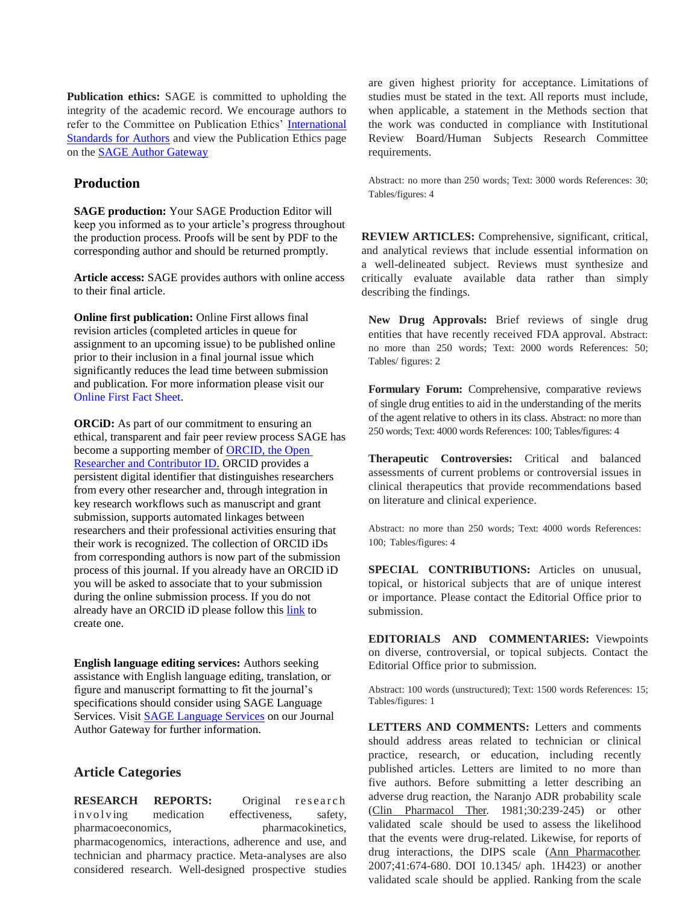**Publication ethics:** SAGE is committed to upholding the integrity of the academic record. We encourage authors to refer to the Committee on Publication Ethics' [International](http://publicationethics.org/files/International%20standards_authors_for%20website_11_Nov_2011.pdf)  [Standards for Authors](http://publicationethics.org/files/International%20standards_authors_for%20website_11_Nov_2011.pdf) and view the Publication Ethics page on the [SAGE Author Gateway](https://uk.sagepub.com/en-gb/eur/ethics-responsibility) 

# **Production**

**SAGE production:** Your SAGE Production Editor will keep you informed as to your article's progress throughout the production process. Proofs will be sent by PDF to the corresponding author and should be returned promptly.

**Article access:** SAGE provides authors with online access to their final article.

**Online first publication:** Online First allows final revision articles (completed articles in queue for assignment to an upcoming issue) to be published online prior to their inclusion in a final journal issue which significantly reduces the lead time between submission and publication. For more information please visit our [Online First Fact Sheet.](http://online.sagepub.com/sphelp/SageColl_PAP.dtl)

**ORCID:** As part of our commitment to ensuring an ethical, transparent and fair peer review process SAGE has become a supporting member of **ORCID**, the Open [Researcher and Contributor ID.](http://orcid.org/) ORCID provides a persistent digital identifier that distinguishes researchers from every other researcher and, through integration in key research workflows such as manuscript and grant submission, supports automated linkages between researchers and their professional activities ensuring that their work is recognized. The collection of ORCID iDs from corresponding authors is now part of the submission process of this journal. If you already have an ORCID iD you will be asked to associate that to your submission during the online submission process. If you do not already have an ORCID iD please follow this [link](https://orcid.org/register) to create one.

**English language editing services:** Authors seeking assistance with English language editing, translation, or figure and manuscript formatting to fit the journal's specifications should consider using SAGE Language Services. Visit [SAGE Language Services](http://languageservices.sagepub.com/en/) on our Journal Author Gateway for further information.

# **Article Categories**

**RESEARCH REPORTS:** Original research in v o l v ing medication effectiveness, safety, pharmacoeconomics, pharmacokinetics, pharmacogenomics, interactions, adherence and use, and technician and pharmacy practice. Meta-analyses are also considered research. Well-designed prospective studies are given highest priority for acceptance. Limitations of studies must be stated in the text. All reports must include, when applicable, a statement in the Methods section that the work was conducted in compliance with Institutional Review Board/Human Subjects Research Committee requirements.

Abstract: no more than 250 words; Text: 3000 words References: 30; Tables/figures: 4

**REVIEW ARTICLES:** Comprehensive, significant, critical, and analytical reviews that include essential information on a well-delineated subject. Reviews must synthesize and critically evaluate available data rather than simply describing the findings.

**New Drug Approvals:** Brief reviews of single drug entities that have recently received FDA approval. Abstract: no more than 250 words; Text: 2000 words References: 50; Tables/ figures: 2

**Formulary Forum:** Comprehensive, comparative reviews of single drug entities to aid in the understanding of the merits of the agent relative to others in its class. Abstract: no more than 250 words; Text: 4000 words References: 100; Tables/figures: 4

**Therapeutic Controversies:** Critical and balanced assessments of current problems or controversial issues in clinical therapeutics that provide recommendations based on literature and clinical experience.

Abstract: no more than 250 words; Text: 4000 words References: 100; Tables/figures: 4

**SPECIAL CONTRIBUTIONS:** Articles on unusual, topical, or historical subjects that are of unique interest or importance. Please contact the Editorial Office prior to submission.

**EDITORIALS AND COMMENTARIES:** Viewpoints on diverse, controversial, or topical subjects. Contact the Editorial Office prior to submission.

Abstract: 100 words (unstructured); Text: 1500 words References: 15; Tables/figures: 1

**LETTERS AND COMMENTS:** Letters and comments should address areas related to technician or clinical practice, research, or education, including recently published articles. Letters are limited to no more than five authors. Before submitting a letter describing an adverse drug reaction, the Naranjo ADR probability scale (Clin Pharmacol Ther*.* 1981;30:239-245) or other validated scale should be used to assess the likelihood that the events were drug-related. Likewise, for reports of drug interactions, the DIPS scale (Ann Pharmacother*.*  2007;41:674-680. DOI 10.1345/ aph. 1H423) or another validated scale should be applied. Ranking from the scale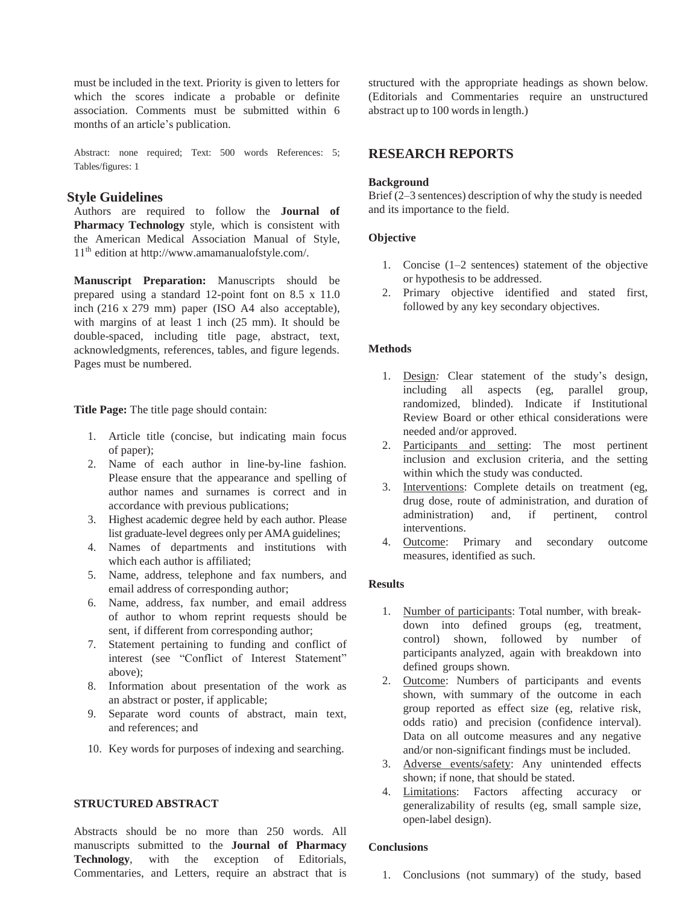must be included in the text. Priority is given to letters for which the scores indicate a probable or definite association. Comments must be submitted within 6 months of an article's publication.

Abstract: none required; Text: 500 words References: 5; Tables/figures: 1

# **Style Guidelines**

Authors are required to follow the **Journal of Pharmacy Technology** style, which is consistent with the American Medical Association Manual of Style, 11<sup>th</sup> [edition](http://www.amamanualofstyle.com/) at htt[p://www.amamanualofstyle.com/](http://www.amamanualofstyle.com/).

**Manuscript Preparation:** Manuscripts should be prepared using a standard 12-point font on 8.5 x 11.0 inch (216 x 279 mm) paper (ISO A4 also acceptable), with margins of at least 1 inch (25 mm). It should be double-spaced, including title page, abstract, text, acknowledgments, references, tables, and figure legends. Pages must be numbered.

**Title Page:** The title page should contain:

- 1. Article title (concise, but indicating main focus of paper);
- 2. Name of each author in line-by-line fashion. Please ensure that the appearance and spelling of author names and surnames is correct and in accordance with previous publications;
- 3. Highest academic degree held by each author. Please list graduate-level degrees only per AMA guidelines;
- 4. Names of departments and institutions with which each author is affiliated;
- 5. Name, address, telephone and fax numbers, and email address of corresponding author;
- 6. Name, address, fax number, and email address of author to whom reprint requests should be sent, if different from corresponding author;
- 7. Statement pertaining to funding and conflict of interest (see "Conflict of Interest Statement" above);
- 8. Information about presentation of the work as an abstract or poster, if applicable;
- 9. Separate word counts of abstract, main text, and references; and
- 10. Key words for purposes of indexing and searching.

### **STRUCTURED ABSTRACT**

Abstracts should be no more than 250 words. All manuscripts submitted to the **Journal of Pharmacy Technology**, with the exception of Editorials, Commentaries, and Letters, require an abstract that is structured with the appropriate headings as shown below. (Editorials and Commentaries require an unstructured abstract up to 100 words in length.)

# **RESEARCH REPORTS**

## **Background**

Brief (2–3 sentences) description of why the study is needed and its importance to the field.

## **Objective**

- 1. Concise (1–2 sentences) statement of the objective or hypothesis to be addressed.
- 2. Primary objective identified and stated first, followed by any key secondary objectives.

## **Methods**

- 1. Design*:* Clear statement of the study's design, including all aspects (eg, parallel group, randomized, blinded). Indicate if Institutional Review Board or other ethical considerations were needed and/or approved.
- 2. Participants and setting: The most pertinent inclusion and exclusion criteria, and the setting within which the study was conducted.
- 3. Interventions: Complete details on treatment (eg, drug dose, route of administration, and duration of administration) and, if pertinent, control interventions.
- 4. Outcome: Primary and secondary outcome measures, identified as such.

### **Results**

- 1. Number of participants: Total number, with breakdown into defined groups (eg, treatment, control) shown, followed by number of participants analyzed, again with breakdown into defined groups shown.
- 2. Outcome: Numbers of participants and events shown, with summary of the outcome in each group reported as effect size (eg, relative risk, odds ratio) and precision (confidence interval). Data on all outcome measures and any negative and/or non-significant findings must be included.
- 3. Adverse events/safety: Any unintended effects shown; if none, that should be stated.
- 4. Limitations: Factors affecting accuracy or generalizability of results (eg, small sample size, open-label design).

### **Conclusions**

1. Conclusions (not summary) of the study, based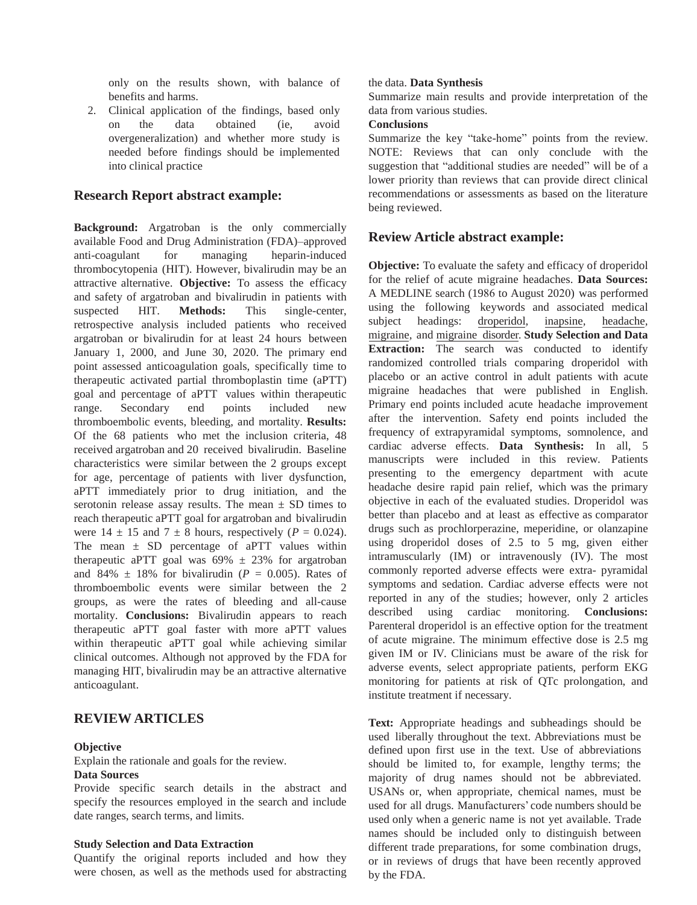only on the results shown, with balance of benefits and harms.

2. Clinical application of the findings, based only on the data obtained (ie, avoid overgeneralization) and whether more study is needed before findings should be implemented into clinical practice

## **Research Report abstract example:**

**Background:** Argatroban is the only commercially available Food and Drug Administration (FDA)–approved anti-coagulant for managing heparin-induced thrombocytopenia (HIT). However, bivalirudin may be an attractive alternative. **Objective:** To assess the efficacy and safety of argatroban and bivalirudin in patients with suspected HIT. **Methods:** This single-center, retrospective analysis included patients who received argatroban or bivalirudin for at least 24 hours between January 1, 2000, and June 30, 2020. The primary end point assessed anticoagulation goals, specifically time to therapeutic activated partial thromboplastin time (aPTT) goal and percentage of aPTT values within therapeutic range. Secondary end points included new thromboembolic events, bleeding, and mortality. **Results:**  Of the 68 patients who met the inclusion criteria, 48 received argatroban and 20 received bivalirudin. Baseline characteristics were similar between the 2 groups except for age, percentage of patients with liver dysfunction, aPTT immediately prior to drug initiation, and the serotonin release assay results. The mean  $\pm$  SD times to reach therapeutic aPTT goal for argatroban and bivalirudin were  $14 \pm 15$  and  $7 \pm 8$  hours, respectively ( $P = 0.024$ ). The mean  $\pm$  SD percentage of aPTT values within therapeutic aPTT goal was  $69\% \pm 23\%$  for argatroban and 84%  $\pm$  18% for bivalirudin ( $P = 0.005$ ). Rates of thromboembolic events were similar between the 2 groups, as were the rates of bleeding and all-cause mortality. **Conclusions:** Bivalirudin appears to reach therapeutic aPTT goal faster with more aPTT values within therapeutic aPTT goal while achieving similar clinical outcomes. Although not approved by the FDA for managing HIT, bivalirudin may be an attractive alternative anticoagulant.

# **REVIEW ARTICLES**

### **Objective**

Explain the rationale and goals for the review.

### **Data Sources**

Provide specific search details in the abstract and specify the resources employed in the search and include date ranges, search terms, and limits.

### **Study Selection and Data Extraction**

Quantify the original reports included and how they were chosen, as well as the methods used for abstracting

### the data. **Data Synthesis**

Summarize main results and provide interpretation of the data from various studies.

### **Conclusions**

Summarize the key "take-home" points from the review. NOTE: Reviews that can only conclude with the suggestion that "additional studies are needed" will be of a lower priority than reviews that can provide direct clinical recommendations or assessments as based on the literature being reviewed.

## **Review Article abstract example:**

**Objective:** To evaluate the safety and efficacy of droperidol for the relief of acute migraine headaches. **Data Sources:**  A MEDLINE search (1986 to August 2020) was performed using the following keywords and associated medical subject headings: droperidol*,* inapsine*,* headache*,*  migraine*,* and migraine disorder*.* **Study Selection and Data Extraction:** The search was conducted to identify randomized controlled trials comparing droperidol with placebo or an active control in adult patients with acute migraine headaches that were published in English. Primary end points included acute headache improvement after the intervention. Safety end points included the frequency of extrapyramidal symptoms, somnolence, and cardiac adverse effects. **Data Synthesis:** In all, 5 manuscripts were included in this review. Patients presenting to the emergency department with acute headache desire rapid pain relief, which was the primary objective in each of the evaluated studies. Droperidol was better than placebo and at least as effective as comparator drugs such as prochlorperazine, meperidine, or olanzapine using droperidol doses of 2.5 to 5 mg, given either intramuscularly (IM) or intravenously (IV). The most commonly reported adverse effects were extra- pyramidal symptoms and sedation. Cardiac adverse effects were not reported in any of the studies; however, only 2 articles described using cardiac monitoring. **Conclusions:**  Parenteral droperidol is an effective option for the treatment of acute migraine. The minimum effective dose is 2.5 mg given IM or IV. Clinicians must be aware of the risk for adverse events, select appropriate patients, perform EKG monitoring for patients at risk of QTc prolongation, and institute treatment if necessary.

**Text:** Appropriate headings and subheadings should be used liberally throughout the text. Abbreviations must be defined upon first use in the text. Use of abbreviations should be limited to, for example, lengthy terms; the majority of drug names should not be abbreviated. USANs or, when appropriate, chemical names, must be used for all drugs. Manufacturers' code numbers should be used only when a generic name is not yet available. Trade names should be included only to distinguish between different trade preparations, for some combination drugs, or in reviews of drugs that have been recently approved by the FDA.